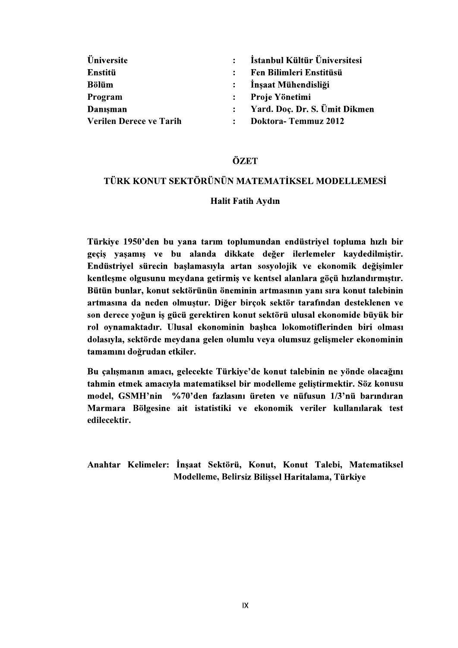| Üniversite              | $\bullet$     | İstanbul Kültür Üniversitesi  |
|-------------------------|---------------|-------------------------------|
| Enstitü                 |               | Fen Bilimleri Enstitüsü       |
| Bölüm                   | $\mathcal{L}$ | İnşaat Mühendisliği           |
| Program                 |               | Proje Yönetimi                |
| Danışman                |               | Yard. Doç. Dr. S. Ümit Dikmen |
| Verilen Derece ve Tarih |               | Doktora-Temmuz 2012           |

# ÖZET

## TÜRK KONUT SEKTÖRÜNÜN MATEMATİKSEL MODELLEMESİ

#### **Halit Fatih Aydın**

Türkiye 1950'den bu yana tarım toplumundan endüstriyel topluma hızlı bir geçiş yaşamış ve bu alanda dikkate değer ilerlemeler kaydedilmiştir. Endüstriyel sürecin başlamasıyla artan sosyolojik ve ekonomik değişimler kentleşme olgusunu meydana getirmiş ve kentsel alanlara göçü hızlandırmıştır. Bütün bunlar, konut sektörünün öneminin artmasının yanı sıra konut talebinin artmasına da neden olmuştur. Diğer birçok sektör tarafından desteklenen ve son derece yoğun iş gücü gerektiren konut sektörü ulusal ekonomide büyük bir rol oynamaktadır. Ulusal ekonominin başlıca lokomotiflerinden biri olması dolasıyla, sektörde meydana gelen olumlu veya olumsuz gelişmeler ekonominin tamamını doğrudan etkiler.

Bu çalışmanın amacı, gelecekte Türkiye'de konut talebinin ne yönde olacağını tahmin etmek amacıyla matematiksel bir modelleme geliştirmektir. Söz konusu model, GSMH'nin %70'den fazlasını üreten ve nüfusun 1/3'nü barındıran Marmara Bölgesine ait istatistiki ve ekonomik veriler kullanılarak test edilecektir.

Anahtar Kelimeler: İnşaat Sektörü, Konut, Konut Talebi, Matematiksel Modelleme, Belirsiz Bilissel Haritalama, Türkiye